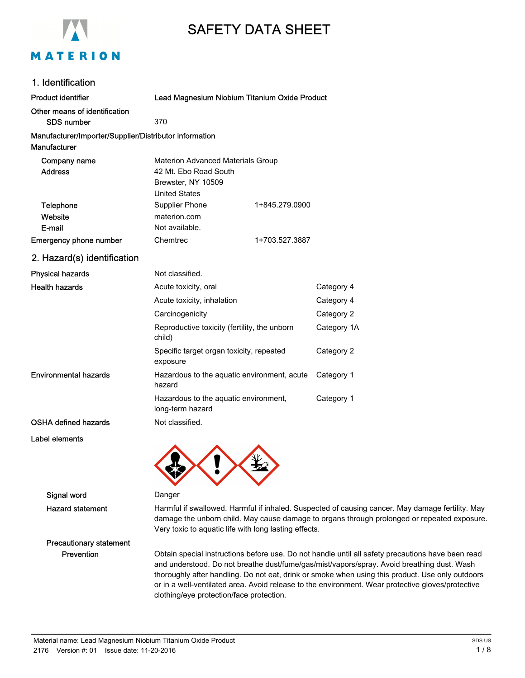

# SAFETY DATA SHEET

## 1. Identification

| <b>Product identifier</b>                                              | Lead Magnesium Niobium Titanium Oxide Product                                                            |                |             |
|------------------------------------------------------------------------|----------------------------------------------------------------------------------------------------------|----------------|-------------|
| Other means of identification<br><b>SDS number</b>                     | 370                                                                                                      |                |             |
| Manufacturer/Importer/Supplier/Distributor information<br>Manufacturer |                                                                                                          |                |             |
| Company name<br><b>Address</b>                                         | Materion Advanced Materials Group<br>42 Mt. Ebo Road South<br>Brewster, NY 10509<br><b>United States</b> |                |             |
| Telephone<br>Website<br>E-mail                                         | Supplier Phone<br>materion.com<br>Not available.                                                         | 1+845.279.0900 |             |
| <b>Emergency phone number</b>                                          | Chemtrec                                                                                                 | 1+703.527.3887 |             |
| 2. Hazard(s) identification                                            |                                                                                                          |                |             |
| <b>Physical hazards</b>                                                | Not classified.                                                                                          |                |             |
| <b>Health hazards</b>                                                  | Acute toxicity, oral                                                                                     |                | Category 4  |
|                                                                        | Acute toxicity, inhalation                                                                               |                | Category 4  |
|                                                                        | Carcinogenicity                                                                                          |                | Category 2  |
|                                                                        | Reproductive toxicity (fertility, the unborn<br>child)                                                   |                | Category 1A |
|                                                                        | Specific target organ toxicity, repeated<br>exposure                                                     |                | Category 2  |
| <b>Environmental hazards</b>                                           | Hazardous to the aquatic environment, acute<br>hazard                                                    |                | Category 1  |
|                                                                        | Hazardous to the aquatic environment,<br>long-term hazard                                                |                | Category 1  |
| OSHA defined hazards                                                   | Not classified.                                                                                          |                |             |
| Label elements                                                         |                                                                                                          |                |             |



#### Signal word Danger

Hazard statement Harmful if swallowed. Harmful if inhaled. Suspected of causing cancer. May damage fertility. May damage the unborn child. May cause damage to organs through prolonged or repeated exposure. Very toxic to aquatic life with long lasting effects.

Precautionary statement

Prevention **Obtain special instructions before use**. Do not handle until all safety precautions have been read and understood. Do not breathe dust/fume/gas/mist/vapors/spray. Avoid breathing dust. Wash thoroughly after handling. Do not eat, drink or smoke when using this product. Use only outdoors or in a well-ventilated area. Avoid release to the environment. Wear protective gloves/protective clothing/eye protection/face protection.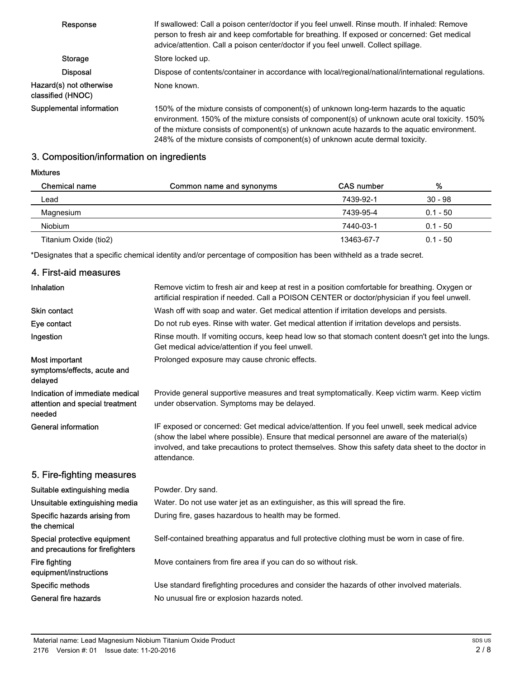| Response                                      | If swallowed: Call a poison center/doctor if you feel unwell. Rinse mouth. If inhaled: Remove<br>person to fresh air and keep comfortable for breathing. If exposed or concerned: Get medical                                                                                                                                                                                |
|-----------------------------------------------|------------------------------------------------------------------------------------------------------------------------------------------------------------------------------------------------------------------------------------------------------------------------------------------------------------------------------------------------------------------------------|
|                                               | advice/attention. Call a poison center/doctor if you feel unwell. Collect spillage.                                                                                                                                                                                                                                                                                          |
| <b>Storage</b>                                | Store locked up.                                                                                                                                                                                                                                                                                                                                                             |
| <b>Disposal</b>                               | Dispose of contents/container in accordance with local/regional/national/international regulations.                                                                                                                                                                                                                                                                          |
| Hazard(s) not otherwise<br>classified (HNOC). | None known.                                                                                                                                                                                                                                                                                                                                                                  |
| Supplemental information                      | 150% of the mixture consists of component(s) of unknown long-term hazards to the aquatic<br>environment. 150% of the mixture consists of component(s) of unknown acute oral toxicity. 150%<br>of the mixture consists of component(s) of unknown acute hazards to the aquatic environment.<br>248% of the mixture consists of component(s) of unknown acute dermal toxicity. |

# 3. Composition/information on ingredients

#### Mixtures

| <b>Chemical name</b>  | Common name and synonyms | <b>CAS</b> number | %          |  |
|-----------------------|--------------------------|-------------------|------------|--|
| Lead                  |                          | 7439-92-1         | $30 - 98$  |  |
| Magnesium             |                          | 7439-95-4         | $0.1 - 50$ |  |
| <b>Niobium</b>        |                          | 7440-03-1         | $0.1 - 50$ |  |
| Titanium Oxide (tio2) |                          | 13463-67-7        | $0.1 - 50$ |  |

\*Designates that a specific chemical identity and/or percentage of composition has been withheld as a trade secret.

## 4. First-aid measures

| <b>Inhalation</b>                                                            | Remove victim to fresh air and keep at rest in a position comfortable for breathing. Oxygen or<br>artificial respiration if needed. Call a POISON CENTER or doctor/physician if you feel unwell.                                                                                                                   |  |
|------------------------------------------------------------------------------|--------------------------------------------------------------------------------------------------------------------------------------------------------------------------------------------------------------------------------------------------------------------------------------------------------------------|--|
| <b>Skin contact</b>                                                          | Wash off with soap and water. Get medical attention if irritation develops and persists.                                                                                                                                                                                                                           |  |
| Eye contact                                                                  | Do not rub eyes. Rinse with water. Get medical attention if irritation develops and persists.                                                                                                                                                                                                                      |  |
| Ingestion                                                                    | Rinse mouth. If vomiting occurs, keep head low so that stomach content doesn't get into the lungs.<br>Get medical advice/attention if you feel unwell.                                                                                                                                                             |  |
| Most important<br>symptoms/effects, acute and<br>delayed                     | Prolonged exposure may cause chronic effects.                                                                                                                                                                                                                                                                      |  |
| Indication of immediate medical<br>attention and special treatment<br>needed | Provide general supportive measures and treat symptomatically. Keep victim warm. Keep victim<br>under observation. Symptoms may be delayed.                                                                                                                                                                        |  |
| <b>General information</b>                                                   | IF exposed or concerned: Get medical advice/attention. If you feel unwell, seek medical advice<br>(show the label where possible). Ensure that medical personnel are aware of the material(s)<br>involved, and take precautions to protect themselves. Show this safety data sheet to the doctor in<br>attendance. |  |
| 5. Fire-fighting measures                                                    |                                                                                                                                                                                                                                                                                                                    |  |
| Suitable extinguishing media                                                 | Powder. Dry sand.                                                                                                                                                                                                                                                                                                  |  |
| Unsuitable extinguishing media                                               | Water. Do not use water jet as an extinguisher, as this will spread the fire.                                                                                                                                                                                                                                      |  |
| Specific hazards arising from<br>the chemical                                | During fire, gases hazardous to health may be formed.                                                                                                                                                                                                                                                              |  |
| Special protective equipment<br>and precautions for firefighters             | Self-contained breathing apparatus and full protective clothing must be worn in case of fire.                                                                                                                                                                                                                      |  |
| <b>Fire fighting</b><br>equipment/instructions                               | Move containers from fire area if you can do so without risk.                                                                                                                                                                                                                                                      |  |
| Specific methods                                                             | Use standard firefighting procedures and consider the hazards of other involved materials.                                                                                                                                                                                                                         |  |
| <b>General fire hazards</b>                                                  | No unusual fire or explosion hazards noted.                                                                                                                                                                                                                                                                        |  |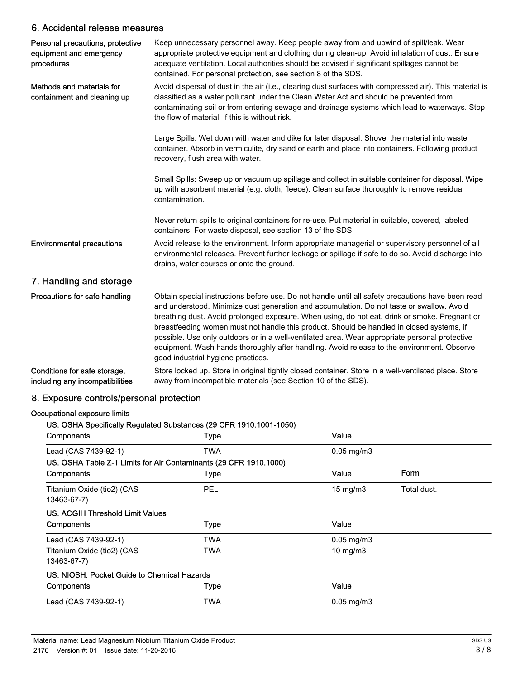### 6. Accidental release measures

| Personal precautions, protective<br>equipment and emergency<br>procedures | Keep unnecessary personnel away. Keep people away from and upwind of spill/leak. Wear<br>appropriate protective equipment and clothing during clean-up. Avoid inhalation of dust. Ensure<br>adequate ventilation. Local authorities should be advised if significant spillages cannot be<br>contained. For personal protection, see section 8 of the SDS.                                                                                                                                                                                                                                                                          |
|---------------------------------------------------------------------------|------------------------------------------------------------------------------------------------------------------------------------------------------------------------------------------------------------------------------------------------------------------------------------------------------------------------------------------------------------------------------------------------------------------------------------------------------------------------------------------------------------------------------------------------------------------------------------------------------------------------------------|
| Methods and materials for<br>containment and cleaning up                  | Avoid dispersal of dust in the air (i.e., clearing dust surfaces with compressed air). This material is<br>classified as a water pollutant under the Clean Water Act and should be prevented from<br>contaminating soil or from entering sewage and drainage systems which lead to waterways. Stop<br>the flow of material, if this is without risk.                                                                                                                                                                                                                                                                               |
|                                                                           | Large Spills: Wet down with water and dike for later disposal. Shovel the material into waste<br>container. Absorb in vermiculite, dry sand or earth and place into containers. Following product<br>recovery, flush area with water.                                                                                                                                                                                                                                                                                                                                                                                              |
|                                                                           | Small Spills: Sweep up or vacuum up spillage and collect in suitable container for disposal. Wipe<br>up with absorbent material (e.g. cloth, fleece). Clean surface thoroughly to remove residual<br>contamination.                                                                                                                                                                                                                                                                                                                                                                                                                |
|                                                                           | Never return spills to original containers for re-use. Put material in suitable, covered, labeled<br>containers. For waste disposal, see section 13 of the SDS.                                                                                                                                                                                                                                                                                                                                                                                                                                                                    |
| <b>Environmental precautions</b>                                          | Avoid release to the environment. Inform appropriate managerial or supervisory personnel of all<br>environmental releases. Prevent further leakage or spillage if safe to do so. Avoid discharge into<br>drains, water courses or onto the ground.                                                                                                                                                                                                                                                                                                                                                                                 |
| 7. Handling and storage                                                   |                                                                                                                                                                                                                                                                                                                                                                                                                                                                                                                                                                                                                                    |
| Precautions for safe handling                                             | Obtain special instructions before use. Do not handle until all safety precautions have been read<br>and understood. Minimize dust generation and accumulation. Do not taste or swallow. Avoid<br>breathing dust. Avoid prolonged exposure. When using, do not eat, drink or smoke. Pregnant or<br>breastfeeding women must not handle this product. Should be handled in closed systems, if<br>possible. Use only outdoors or in a well-ventilated area. Wear appropriate personal protective<br>equipment. Wash hands thoroughly after handling. Avoid release to the environment. Observe<br>good industrial hygiene practices. |
| Conditions for safe storage,<br>including any incompatibilities           | Store locked up. Store in original tightly closed container. Store in a well-ventilated place. Store<br>away from incompatible materials (see Section 10 of the SDS).                                                                                                                                                                                                                                                                                                                                                                                                                                                              |

# 8. Exposure controls/personal protection

#### Occupational exposure limits

# US. OSHA Specifically Regulated Substances (29 CFR 1910.1001-1050)

| <b>Components</b>                                                 | <b>Type</b> | Value             |             |
|-------------------------------------------------------------------|-------------|-------------------|-------------|
| Lead (CAS 7439-92-1)                                              | TWA         | $0.05$ mg/m $3$   |             |
| US. OSHA Table Z-1 Limits for Air Contaminants (29 CFR 1910.1000) |             |                   |             |
| <b>Components</b>                                                 | <b>Type</b> | Value             | Form        |
| Titanium Oxide (tio2) (CAS<br>13463-67-7)                         | <b>PEL</b>  | $15 \text{ mg/m}$ | Total dust. |
| US. ACGIH Threshold Limit Values                                  |             |                   |             |
| <b>Components</b>                                                 | <b>Type</b> | Value             |             |
| Lead (CAS 7439-92-1)                                              | TWA         | $0.05$ mg/m $3$   |             |
| Titanium Oxide (tio2) (CAS<br>13463-67-7)                         | TWA         | 10 mg/m3          |             |
| US. NIOSH: Pocket Guide to Chemical Hazards                       |             |                   |             |
| Components                                                        | <b>Type</b> | Value             |             |
| Lead (CAS 7439-92-1)                                              | TWA         | $0.05$ mg/m $3$   |             |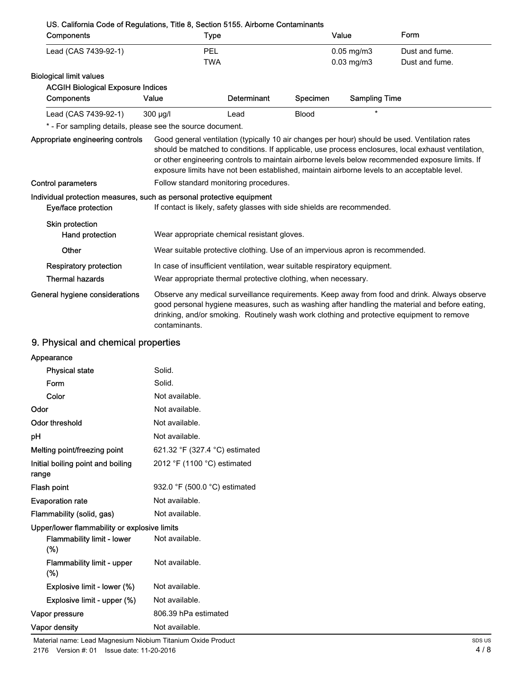| US. California Code of Regulations, Title 8, Section 5155. Airborne Contaminants |                                                                         |                                                                               |              |                      |                                                                                                                                                                                                                                                                                                                                                                                                        |
|----------------------------------------------------------------------------------|-------------------------------------------------------------------------|-------------------------------------------------------------------------------|--------------|----------------------|--------------------------------------------------------------------------------------------------------------------------------------------------------------------------------------------------------------------------------------------------------------------------------------------------------------------------------------------------------------------------------------------------------|
| Components                                                                       | Type                                                                    |                                                                               |              | Value                | Form                                                                                                                                                                                                                                                                                                                                                                                                   |
| Lead (CAS 7439-92-1)                                                             | <b>PEL</b>                                                              |                                                                               |              | $0.05$ mg/m $3$      | Dust and fume.                                                                                                                                                                                                                                                                                                                                                                                         |
|                                                                                  | <b>TWA</b>                                                              |                                                                               |              | $0.03$ mg/m $3$      | Dust and fume.                                                                                                                                                                                                                                                                                                                                                                                         |
| <b>Biological limit values</b>                                                   |                                                                         |                                                                               |              |                      |                                                                                                                                                                                                                                                                                                                                                                                                        |
| <b>ACGIH Biological Exposure Indices</b>                                         |                                                                         |                                                                               |              |                      |                                                                                                                                                                                                                                                                                                                                                                                                        |
| Components                                                                       | Value                                                                   | Determinant                                                                   | Specimen     | <b>Sampling Time</b> |                                                                                                                                                                                                                                                                                                                                                                                                        |
| Lead (CAS 7439-92-1)                                                             | 300 µg/l                                                                | Lead                                                                          | <b>Blood</b> | $\star$              |                                                                                                                                                                                                                                                                                                                                                                                                        |
| * - For sampling details, please see the source document.                        |                                                                         |                                                                               |              |                      |                                                                                                                                                                                                                                                                                                                                                                                                        |
| Appropriate engineering controls                                                 |                                                                         |                                                                               |              |                      | Good general ventilation (typically 10 air changes per hour) should be used. Ventilation rates<br>should be matched to conditions. If applicable, use process enclosures, local exhaust ventilation,<br>or other engineering controls to maintain airborne levels below recommended exposure limits. If<br>exposure limits have not been established, maintain airborne levels to an acceptable level. |
| <b>Control parameters</b>                                                        | Follow standard monitoring procedures.                                  |                                                                               |              |                      |                                                                                                                                                                                                                                                                                                                                                                                                        |
| Individual protection measures, such as personal protective equipment            |                                                                         |                                                                               |              |                      |                                                                                                                                                                                                                                                                                                                                                                                                        |
| Eye/face protection                                                              | If contact is likely, safety glasses with side shields are recommended. |                                                                               |              |                      |                                                                                                                                                                                                                                                                                                                                                                                                        |
| Skin protection<br>Hand protection                                               | Wear appropriate chemical resistant gloves.                             |                                                                               |              |                      |                                                                                                                                                                                                                                                                                                                                                                                                        |
| Other                                                                            |                                                                         | Wear suitable protective clothing. Use of an impervious apron is recommended. |              |                      |                                                                                                                                                                                                                                                                                                                                                                                                        |
| <b>Respiratory protection</b>                                                    |                                                                         | In case of insufficient ventilation, wear suitable respiratory equipment.     |              |                      |                                                                                                                                                                                                                                                                                                                                                                                                        |
| <b>Thermal hazards</b>                                                           |                                                                         | Wear appropriate thermal protective clothing, when necessary.                 |              |                      |                                                                                                                                                                                                                                                                                                                                                                                                        |
| General hygiene considerations                                                   | contaminants.                                                           |                                                                               |              |                      | Observe any medical surveillance requirements. Keep away from food and drink. Always observe<br>good personal hygiene measures, such as washing after handling the material and before eating,<br>drinking, and/or smoking. Routinely wash work clothing and protective equipment to remove                                                                                                            |

# 9. Physical and chemical properties

| Solid.                                       |
|----------------------------------------------|
| Solid.                                       |
| Not available.                               |
| Not available.                               |
| Not available.                               |
| Not available.                               |
| 621.32 °F (327.4 °C) estimated               |
| 2012 °F (1100 °C) estimated                  |
| 932.0 °F (500.0 °C) estimated                |
| Not available.                               |
| Not available.                               |
| Upper/lower flammability or explosive limits |
| Not available.                               |
| Not available.                               |
| Not available.                               |
| Not available.                               |
| 806.39 hPa estimated                         |
| Not available.                               |
|                                              |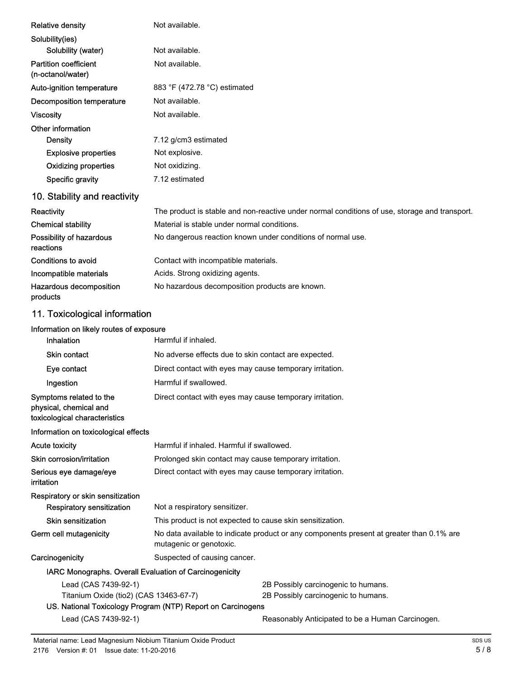| <b>Relative density</b>                                                            | Not available.                                                                                                      |                                                                                               |  |
|------------------------------------------------------------------------------------|---------------------------------------------------------------------------------------------------------------------|-----------------------------------------------------------------------------------------------|--|
| Solubility(ies)                                                                    |                                                                                                                     |                                                                                               |  |
| Solubility (water)                                                                 | Not available.                                                                                                      |                                                                                               |  |
| <b>Partition coefficient</b><br>(n-octanol/water)                                  | Not available.                                                                                                      |                                                                                               |  |
| Auto-ignition temperature                                                          | 883 °F (472.78 °C) estimated                                                                                        |                                                                                               |  |
| <b>Decomposition temperature</b>                                                   | Not available.                                                                                                      |                                                                                               |  |
| <b>Viscosity</b>                                                                   | Not available.                                                                                                      |                                                                                               |  |
| Other information                                                                  |                                                                                                                     |                                                                                               |  |
| <b>Density</b>                                                                     | 7.12 g/cm3 estimated                                                                                                |                                                                                               |  |
| <b>Explosive properties</b>                                                        | Not explosive.                                                                                                      |                                                                                               |  |
| <b>Oxidizing properties</b>                                                        | Not oxidizing.                                                                                                      |                                                                                               |  |
| Specific gravity                                                                   | 7.12 estimated                                                                                                      |                                                                                               |  |
| 10. Stability and reactivity                                                       |                                                                                                                     |                                                                                               |  |
| Reactivity                                                                         |                                                                                                                     | The product is stable and non-reactive under normal conditions of use, storage and transport. |  |
| <b>Chemical stability</b>                                                          | Material is stable under normal conditions.                                                                         |                                                                                               |  |
| Possibility of hazardous<br>reactions                                              | No dangerous reaction known under conditions of normal use.                                                         |                                                                                               |  |
| Conditions to avoid                                                                | Contact with incompatible materials.                                                                                |                                                                                               |  |
| Incompatible materials                                                             | Acids. Strong oxidizing agents.                                                                                     |                                                                                               |  |
| Hazardous decomposition<br>products                                                | No hazardous decomposition products are known.                                                                      |                                                                                               |  |
| 11. Toxicological information                                                      |                                                                                                                     |                                                                                               |  |
| Information on likely routes of exposure                                           |                                                                                                                     |                                                                                               |  |
| Inhalation                                                                         | Harmful if inhaled.                                                                                                 |                                                                                               |  |
| <b>Skin contact</b>                                                                | No adverse effects due to skin contact are expected.                                                                |                                                                                               |  |
| Eye contact                                                                        | Direct contact with eyes may cause temporary irritation.                                                            |                                                                                               |  |
| Ingestion                                                                          | Harmful if swallowed.                                                                                               |                                                                                               |  |
| Symptoms related to the<br>physical, chemical and<br>toxicological characteristics | Direct contact with eyes may cause temporary irritation.                                                            |                                                                                               |  |
| Information on toxicological effects                                               |                                                                                                                     |                                                                                               |  |
| <b>Acute toxicity</b>                                                              | Harmful if inhaled. Harmful if swallowed.                                                                           |                                                                                               |  |
| Skin corrosion/irritation                                                          | Prolonged skin contact may cause temporary irritation.                                                              |                                                                                               |  |
| Serious eye damage/eye<br>irritation                                               | Direct contact with eyes may cause temporary irritation.                                                            |                                                                                               |  |
| Respiratory or skin sensitization                                                  |                                                                                                                     |                                                                                               |  |
| Respiratory sensitization                                                          | Not a respiratory sensitizer.                                                                                       |                                                                                               |  |
| <b>Skin sensitization</b>                                                          | This product is not expected to cause skin sensitization.                                                           |                                                                                               |  |
| Germ cell mutagenicity                                                             | No data available to indicate product or any components present at greater than 0.1% are<br>mutagenic or genotoxic. |                                                                                               |  |
| Carcinogenicity                                                                    | Suspected of causing cancer.                                                                                        |                                                                                               |  |
| IARC Monographs. Overall Evaluation of Carcinogenicity                             |                                                                                                                     |                                                                                               |  |
| Lead (CAS 7439-92-1)                                                               | 2B Possibly carcinogenic to humans.                                                                                 |                                                                                               |  |
| Titanium Oxide (tio2) (CAS 13463-67-7)                                             |                                                                                                                     | 2B Possibly carcinogenic to humans.                                                           |  |

# US. National Toxicology Program (NTP) Report on Carcinogens

Lead (CAS 7439-92-1) Reasonably Anticipated to be a Human Carcinogen.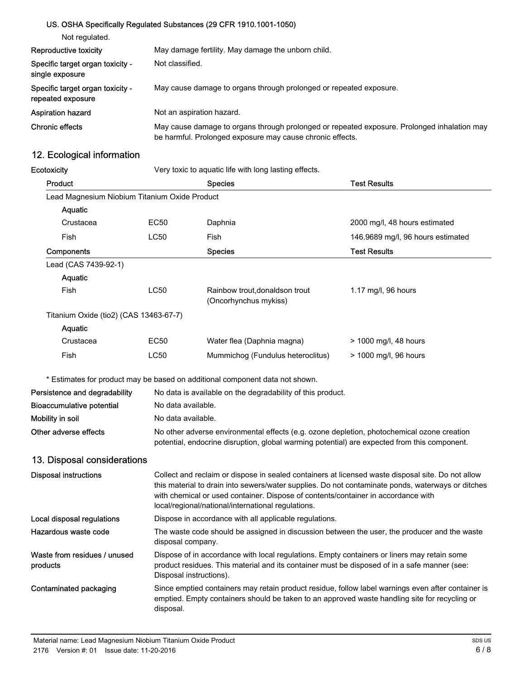## US. OSHA Specifically Regulated Substances (29 CFR 1910.1001-1050)

| Not regulated.                                        |                                                                                                                                                          |
|-------------------------------------------------------|----------------------------------------------------------------------------------------------------------------------------------------------------------|
| Reproductive toxicity                                 | May damage fertility. May damage the unborn child.                                                                                                       |
| Specific target organ toxicity -<br>single exposure   | Not classified.                                                                                                                                          |
| Specific target organ toxicity -<br>repeated exposure | May cause damage to organs through prolonged or repeated exposure.                                                                                       |
| <b>Aspiration hazard</b>                              | Not an aspiration hazard.                                                                                                                                |
| <b>Chronic effects</b>                                | May cause damage to organs through prolonged or repeated exposure. Prolonged inhalation may<br>be harmful. Prolonged exposure may cause chronic effects. |

# 12. Ecological information

| Ecotoxicity                                   | Very toxic to aquatic life with long lasting effects.                                                                                                                                               |                                                                                                                                                                                                                                                                                                                                                   |                                   |  |
|-----------------------------------------------|-----------------------------------------------------------------------------------------------------------------------------------------------------------------------------------------------------|---------------------------------------------------------------------------------------------------------------------------------------------------------------------------------------------------------------------------------------------------------------------------------------------------------------------------------------------------|-----------------------------------|--|
| Product                                       |                                                                                                                                                                                                     | <b>Species</b>                                                                                                                                                                                                                                                                                                                                    | <b>Test Results</b>               |  |
| Lead Magnesium Niobium Titanium Oxide Product |                                                                                                                                                                                                     |                                                                                                                                                                                                                                                                                                                                                   |                                   |  |
| Aquatic                                       |                                                                                                                                                                                                     |                                                                                                                                                                                                                                                                                                                                                   |                                   |  |
| Crustacea                                     | EC50                                                                                                                                                                                                | Daphnia                                                                                                                                                                                                                                                                                                                                           | 2000 mg/l, 48 hours estimated     |  |
| Fish                                          | <b>LC50</b>                                                                                                                                                                                         | Fish                                                                                                                                                                                                                                                                                                                                              | 146.9689 mg/l, 96 hours estimated |  |
| Components                                    |                                                                                                                                                                                                     | <b>Species</b>                                                                                                                                                                                                                                                                                                                                    | <b>Test Results</b>               |  |
| Lead (CAS 7439-92-1)                          |                                                                                                                                                                                                     |                                                                                                                                                                                                                                                                                                                                                   |                                   |  |
| Aquatic                                       |                                                                                                                                                                                                     |                                                                                                                                                                                                                                                                                                                                                   |                                   |  |
| Fish                                          | LC50                                                                                                                                                                                                | Rainbow trout, donaldson trout<br>(Oncorhynchus mykiss)                                                                                                                                                                                                                                                                                           | 1.17 mg/l, 96 hours               |  |
| Titanium Oxide (tio2) (CAS 13463-67-7)        |                                                                                                                                                                                                     |                                                                                                                                                                                                                                                                                                                                                   |                                   |  |
| Aquatic                                       |                                                                                                                                                                                                     |                                                                                                                                                                                                                                                                                                                                                   |                                   |  |
| Crustacea                                     | EC50                                                                                                                                                                                                | Water flea (Daphnia magna)                                                                                                                                                                                                                                                                                                                        | > 1000 mg/l, 48 hours             |  |
| Fish                                          | <b>LC50</b>                                                                                                                                                                                         | Mummichog (Fundulus heteroclitus)                                                                                                                                                                                                                                                                                                                 | > 1000 mg/l, 96 hours             |  |
|                                               |                                                                                                                                                                                                     | * Estimates for product may be based on additional component data not shown.                                                                                                                                                                                                                                                                      |                                   |  |
| Persistence and degradability                 |                                                                                                                                                                                                     | No data is available on the degradability of this product.                                                                                                                                                                                                                                                                                        |                                   |  |
| <b>Bioaccumulative potential</b>              |                                                                                                                                                                                                     | No data available.                                                                                                                                                                                                                                                                                                                                |                                   |  |
| Mobility in soil                              |                                                                                                                                                                                                     | No data available.                                                                                                                                                                                                                                                                                                                                |                                   |  |
| Other adverse effects                         | No other adverse environmental effects (e.g. ozone depletion, photochemical ozone creation<br>potential, endocrine disruption, global warming potential) are expected from this component.          |                                                                                                                                                                                                                                                                                                                                                   |                                   |  |
| 13. Disposal considerations                   |                                                                                                                                                                                                     |                                                                                                                                                                                                                                                                                                                                                   |                                   |  |
| <b>Disposal instructions</b>                  |                                                                                                                                                                                                     | Collect and reclaim or dispose in sealed containers at licensed waste disposal site. Do not allow<br>this material to drain into sewers/water supplies. Do not contaminate ponds, waterways or ditches<br>with chemical or used container. Dispose of contents/container in accordance with<br>local/regional/national/international regulations. |                                   |  |
| Local disposal regulations                    |                                                                                                                                                                                                     | Dispose in accordance with all applicable regulations.                                                                                                                                                                                                                                                                                            |                                   |  |
| Hazardous waste code                          | disposal company.                                                                                                                                                                                   | The waste code should be assigned in discussion between the user, the producer and the waste                                                                                                                                                                                                                                                      |                                   |  |
| Waste from residues / unused<br>products      |                                                                                                                                                                                                     | Dispose of in accordance with local regulations. Empty containers or liners may retain some<br>product residues. This material and its container must be disposed of in a safe manner (see:<br>Disposal instructions).                                                                                                                            |                                   |  |
| <b>Contaminated packaging</b>                 | Since emptied containers may retain product residue, follow label warnings even after container is<br>emptied. Empty containers should be taken to an approved waste handling site for recycling or |                                                                                                                                                                                                                                                                                                                                                   |                                   |  |

disposal.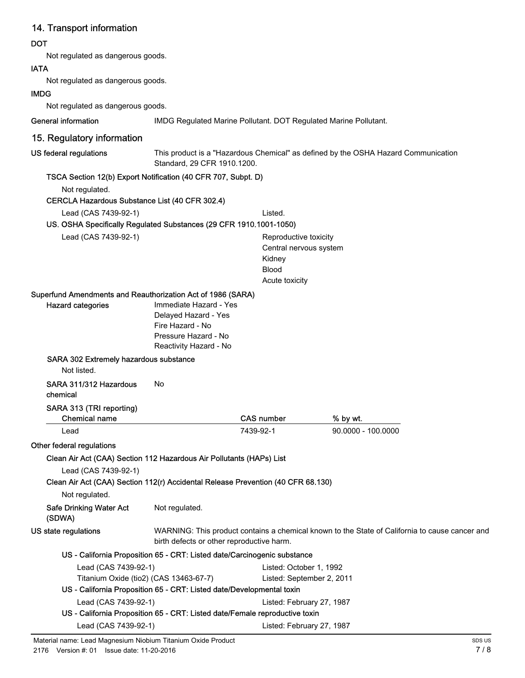# 14. Transport information

## **DOT**

Not regulated as dangerous goods.

## IATA

Not regulated as dangerous goods.

## IMDG

Not regulated as dangerous goods.

General information **IMDG** Regulated Marine Pollutant. DOT Regulated Marine Pollutant.

# 15. Regulatory information

This product is a "Hazardous Chemical" as defined by the OSHA Hazard Communication Standard, 29 CFR 1910.1200. US federal regulations

## TSCA Section 12(b) Export Notification (40 CFR 707, Subpt. D)

Not regulated.

#### CERCLA Hazardous Substance List (40 CFR 302.4)

Lead (CAS 7439-92-1) Listed.

#### US. OSHA Specifically Regulated Substances (29 CFR 1910.1001-1050)

Lead (CAS 7439-92-1) Reproductive toxicity

Central nervous system Kidney Blood Acute toxicity

#### Superfund Amendments and Reauthorization Act of 1986 (SARA)

| <b>Hazard categories</b>               | Immediate Hazard - Yes |
|----------------------------------------|------------------------|
|                                        | Delayed Hazard - Yes   |
|                                        | Fire Hazard - No       |
|                                        | Pressure Hazard - No   |
|                                        | Reactivity Hazard - No |
| SARA 302 Extremely hazardous substance |                        |

Not listed.

## SARA 311/312 Hazardous No

## chemical

#### SARA 313 (TRI reporting)

| <b>Chemical name</b>                                                             |                | <b>CAS number</b>                         | % by wt.                                                                                       |  |
|----------------------------------------------------------------------------------|----------------|-------------------------------------------|------------------------------------------------------------------------------------------------|--|
| Lead                                                                             |                | 7439-92-1                                 | $90.0000 - 100.0000$                                                                           |  |
| Other federal regulations                                                        |                |                                           |                                                                                                |  |
| Clean Air Act (CAA) Section 112 Hazardous Air Pollutants (HAPs) List             |                |                                           |                                                                                                |  |
| Lead (CAS 7439-92-1)                                                             |                |                                           |                                                                                                |  |
| Clean Air Act (CAA) Section 112(r) Accidental Release Prevention (40 CFR 68.130) |                |                                           |                                                                                                |  |
| Not regulated.                                                                   |                |                                           |                                                                                                |  |
| <b>Safe Drinking Water Act</b><br>(SDWA)                                         | Not regulated. |                                           |                                                                                                |  |
| US state regulations                                                             |                | birth defects or other reproductive harm. | WARNING: This product contains a chemical known to the State of California to cause cancer and |  |
|                                                                                  |                |                                           |                                                                                                |  |

# US - California Proposition 65 - CRT: Listed date/Carcinogenic substance

| Lead (CAS 7439-92-1)                                                        | Listed: October 1, 1992   |  |  |  |
|-----------------------------------------------------------------------------|---------------------------|--|--|--|
| Titanium Oxide (tio2) (CAS 13463-67-7)                                      | Listed: September 2, 2011 |  |  |  |
| US - California Proposition 65 - CRT: Listed date/Developmental toxin       |                           |  |  |  |
| Lead (CAS 7439-92-1)                                                        | Listed: February 27, 1987 |  |  |  |
| US - California Proposition 65 - CRT: Listed date/Female reproductive toxin |                           |  |  |  |
| Lead (CAS 7439-92-1)                                                        | Listed: February 27, 1987 |  |  |  |